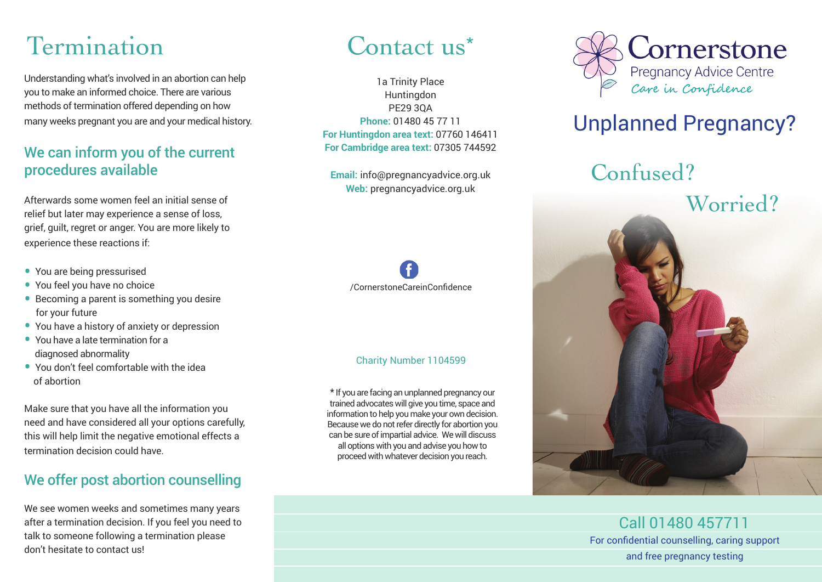## Termination

Understanding what's involved in an abortion can help you to make an informed choice. There are various methods of termination offered depending on how many weeks pregnant you are and your medical history.

#### We can inform you of the current procedures available

Afterwards some women feel an initial sense of relief but later may experience a sense of loss, grief, guilt, regret or anger. You are more likely to experience these reactions if:

- You are being pressurised
- You feel you have no choice
- Becoming a parent is something you desire for your future
- You have a history of anxiety or depression
- You have a late termination for a diagnosed abnormality
- You don't feel comfortable with the idea of abortion

Make sure that you have all the information you need and have considered all your options carefully, this will help limit the negative emotional effects a termination decision could have.

#### We offer post abortion counselling

We see women weeks and sometimes many years after a termination decision. If you feel you need to talk to someone following a termination please don't hesitate to contact us!

### Contact us<sup>\*</sup>

1a Trinity Place Huntingdon PE29 3QA **Phone:** 01480 45 77 11 **For Huntingdon area text:** 07760 146411 **For Cambridge area text:** 07305 744592

**Email:** info@pregnancyadvice.org.uk **Web:** pregnancyadvice.org.uk



#### Charity Number 1104599

\* If you are facing an unplanned pregnancy our trained advocates will give you time, space and information to help you make your own decision. Because we do not refer directly for abortion you can be sure of impartial advice. We will discuss all options with you and advise you how to proceed with whatever decision you reach.



### Unplanned Pregnancy?

Confused?



Call 01480 457711 For confidential counselling, caring support and free pregnancy testing